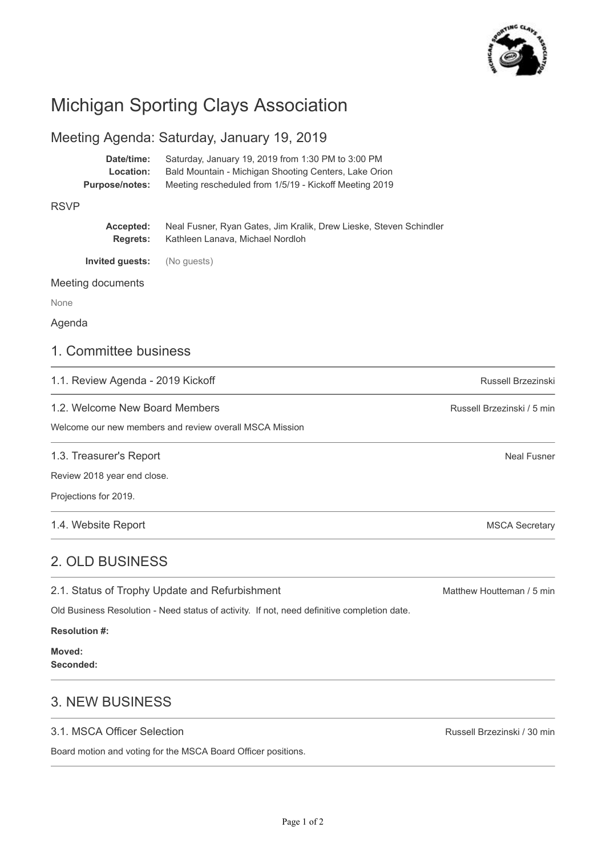

# Michigan Sporting Clays Association

### Meeting Agenda: Saturday, January 19, 2019

| Date/time:            | Saturday, January 19, 2019 from 1:30 PM to 3:00 PM     |
|-----------------------|--------------------------------------------------------|
| Location:             | Bald Mountain - Michigan Shooting Centers, Lake Orion  |
| <b>Purpose/notes:</b> | Meeting rescheduled from 1/5/19 - Kickoff Meeting 2019 |

#### RSVP

| Accepted:       | Neal Fusner, Ryan Gates, Jim Kralik, Drew Lieske, Steven Schindler |
|-----------------|--------------------------------------------------------------------|
| <b>Rearets:</b> | Kathleen Lanava, Michael Nordloh                                   |

**Invited guests:** (No guests)

Meeting documents

None

#### Agenda

### 1. Committee business

1.1. Review Agenda - 2019 Kickoff

1.2. Welcome New Board Members

Welcome our new members and review overall MSCA Mission

1.3. Treasurer's Report

Review 2018 year end close.

Projections for 2019.

1.4. Website Report

## 2. OLD BUSINESS

2.1. Status of Trophy Update and Refurbishment

Old Business Resolution - Need status of activity. If not, need definitive completion date.

**Resolution #:**

**Moved: Seconded:**

# 3. NEW BUSINESS

#### 3.1. MSCA Officer Selection

Board motion and voting for the MSCA Board Officer positions.

Matthew Houtteman / 5 min

Russell Brzezinski

Neal Fusner

MSCA Secretary

Russell Brzezinski / 5 min

Russell Brzezinski / 30 min